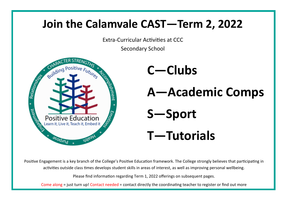# **Join the Calamvale CAST—Term 2, 2022**

Extra-Curricular Activities at CCC

Secondary School



Positive Engagement is a key branch of the College's Positive Education framework. The College strongly believes that participating in activities outside class times develops student skills in areas of interest, as well as improving personal wellbeing.

Please find information regarding Term 1, 2022 offerings on subsequent pages.

Come along = just turn up! Contact needed = contact directly the coordinating teacher to register or find out more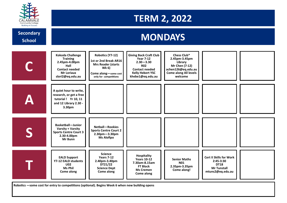

**Secondary** 

**School**

## **TERM 2, 2022**

## **MONDAYS**

| <b>Kokoda Challenge</b><br><b>Training</b><br>2.45pm-4.00pm<br>Hall<br><b>Contact needed</b><br><b>Mr Loriaux</b><br>slori2@eq.edu.au | Robotics (Y7-12)<br>1st or 2nd Break AR16<br><b>Mrs Reader (starts</b><br>Wk 6)<br>Come along-some cost<br>only for competitions | <b>Giving Back Craft Club</b><br><b>Year 7-12</b><br>$2.30 - 3.30$<br><b>R02</b><br><b>Contact needed</b><br><b>Kelly Hebert YSC</b><br>khebe1@eq.edu.au | Chess Club*<br>2.45pm-3.45pm<br>Library<br>Mr Chen (7-12)<br>achen126@eq.edu.au<br><b>Come along All levels</b><br>welcome |                                                                                                        |  |
|---------------------------------------------------------------------------------------------------------------------------------------|----------------------------------------------------------------------------------------------------------------------------------|----------------------------------------------------------------------------------------------------------------------------------------------------------|----------------------------------------------------------------------------------------------------------------------------|--------------------------------------------------------------------------------------------------------|--|
| A quiet hour to write,<br>research, or get a free<br>tutorial ! Yr 10, 11<br>and 12 Library 2.30 -<br>3.30pm                          |                                                                                                                                  |                                                                                                                                                          |                                                                                                                            |                                                                                                        |  |
| <b>Basketball-Junior</b><br>Varsity + Varsity<br><b>Sports Centre Court 3</b><br>2.30-4.00pm<br>Mr Bunn                               | Netball-Rookies<br><b>Sports Centre Court 2</b><br>$2.30pm - 3.30pm$<br><b>Ms Alofipo</b>                                        |                                                                                                                                                          |                                                                                                                            |                                                                                                        |  |
| <b>EALD Support</b><br>Y7-12 EALD students<br><b>U02</b><br>Ms Phil<br>Come along                                                     | <b>Science</b><br><b>Years 7-12</b><br>2.40pm-3.40pm<br>DT21/22<br><b>Science Dept</b><br>Come along                             | Hospitality<br><b>Years 10-12</b><br>7.30am-8.15am<br><b>FT Block</b><br><b>Ms Cremen</b><br>Come along                                                  | <b>Senior Maths</b><br><b>N01</b><br>2.35pm-3.35pm<br>Come along!                                                          | <b>Cert II Skills for Work</b><br>$2:45-3:30$<br><b>DT18</b><br><b>Mr Tunstall</b><br>mtuns2@eq.edu.au |  |

**Robotics —some cost for entry to competitions (optional). Begins Week 6 when new building opens**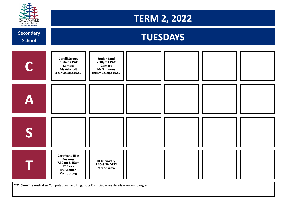

## **TERM 2, 2022**

**School**





**\*\*OzClo—**The Australian Computational and Linguistics Olympiad—see details www.ozclo.org.au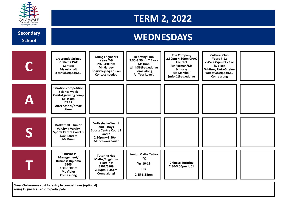

**School**

# **TERM 2, 2022**

# **Secondary Condary Secondary Active Secondary Active Secondary Active Secondary Active Secondary Secondary Secondary Secondary Secondary Secondary Secondary Secondary Secondary Secondary Secondary Secondary Secondary Secon**

|                                                                                                  | <b>Crescendo Strings</b><br>7.30am CPAC<br>Contact<br><b>Ms Ashcroft</b><br>clash0@eq.edu.au                                                  | <b>Young Engineers</b><br>Years 7-9<br>2:45-4:00pm<br><b>Mr Harvey</b><br>bharv97@eq.edu.au<br><b>Contact needed</b>    | <b>Debating Club</b><br>2:30-3:30pm T Block<br><b>Ms Dinh</b><br>tdinh36@eq.edu.au<br>Come along<br><b>All Year Levels</b> | <b>The Company</b><br>2.30pm-4.30pm CPAC<br><b>Contact</b><br>Mr Forman/Ms<br>Schloss/<br><b>Ms Marshall</b><br>jmfor1@eq.edu.au | <b>Cultural Club</b><br><b>Years 7-12</b><br>2.45-3.45pm PF23 or<br><b>SS block</b><br><b>Whitney Ueta-Siteine</b><br>wueta0@eq.edu.au<br>Come along |  |  |  |
|--------------------------------------------------------------------------------------------------|-----------------------------------------------------------------------------------------------------------------------------------------------|-------------------------------------------------------------------------------------------------------------------------|----------------------------------------------------------------------------------------------------------------------------|----------------------------------------------------------------------------------------------------------------------------------|------------------------------------------------------------------------------------------------------------------------------------------------------|--|--|--|
|                                                                                                  | <b>Titration competition</b><br><b>Science week</b><br><b>Crystal growing comp</b><br>Dr. Islam<br><b>DT 22</b><br>After school/break<br>time |                                                                                                                         |                                                                                                                            |                                                                                                                                  |                                                                                                                                                      |  |  |  |
|                                                                                                  | <b>Basketball-Junior</b><br>Varsity + Varsity<br><b>Sports Centre Court 3</b><br>2.30-4.00pm<br>Mr Bunn                                       | Volleyball-Year 8<br>and 9 Boys<br><b>Sports Centre Court 1</b><br>and 2<br>$2.30pm - 3.30pm$<br><b>Mr Schwarzbauer</b> |                                                                                                                            |                                                                                                                                  |                                                                                                                                                      |  |  |  |
|                                                                                                  | <b>IB Business</b><br>Management/<br><b>Business Diploma</b><br><b>SS05</b><br>2.30-3.30pm<br><b>Ms Vidler</b><br>Come along                  | <b>Tutoring Hub</b><br>Maths/Eng/Hum<br>Years 7-9<br>SS07/SS09<br>2.35pm-3.35pm<br>Come along!                          | <b>Senior Maths Tutor-</b><br>ing<br><b>Yrs 10-12</b><br><b>LO7</b><br>2.35-3.35pm                                         | <b>Chinese Tutoring</b><br>2.30-3.00pm U01                                                                                       |                                                                                                                                                      |  |  |  |
| Chess Club-some cost for entry to competitions (optional)<br>Young Engineers-cost to participate |                                                                                                                                               |                                                                                                                         |                                                                                                                            |                                                                                                                                  |                                                                                                                                                      |  |  |  |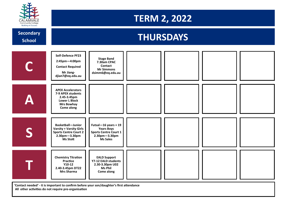

## **TERM 2, 2022**

**School**

# **Secondary Condary Condary Condary Property Condary Property Conducts of THURSDAYS**



**'Contact needed' - it is important to confirm before your son/daughter's first attendance All other activities do not require pre-organisation**